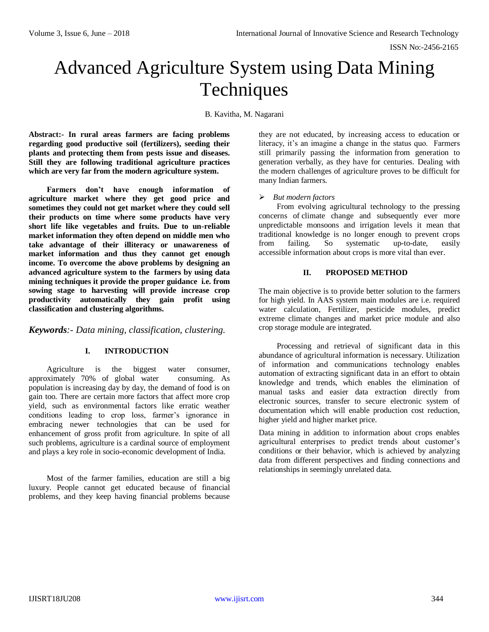# Advanced Agriculture System using Data Mining Techniques

B. Kavitha, M. Nagarani

**Abstract:- In rural areas farmers are facing problems regarding good productive soil (fertilizers), seeding their plants and protecting them from pests issue and diseases. Still they are following traditional agriculture practices which are very far from the modern agriculture system.**

**Farmers don't have enough information of agriculture market where they get good price and sometimes they could not get market where they could sell their products on time where some products have very short life like vegetables and fruits. Due to un-reliable market information they often depend on middle men who take advantage of their illiteracy or unawareness of market information and thus they cannot get enough income. To overcome the above problems by designing an advanced agriculture system to the farmers by using data mining techniques it provide the proper guidance i.e. from sowing stage to harvesting will provide increase crop productivity automatically they gain profit using classification and clustering algorithms.** 

*Keywords:- Data mining, classification, clustering.*

## **I. INTRODUCTION**

Agriculture is the biggest water consumer, approximately 70% of global water consuming. As population is increasing day by day, the demand of food is on gain too. There are certain more factors that affect more crop yield, such as environmental factors like erratic weather conditions leading to crop loss, farmer's ignorance in embracing newer technologies that can be used for enhancement of gross profit from agriculture. In spite of all such problems, agriculture is a cardinal source of employment and plays a key role in socio-economic development of India.

Most of the farmer families, education are still a big luxury. People cannot get educated because of financial problems, and they keep having financial problems because they are not educated, by increasing access to education or literacy, it's an imagine a change in the status quo. Farmers still primarily passing the information from generation to generation verbally, as they have for centuries. Dealing with the modern challenges of agriculture proves to be difficult for many Indian farmers.

*But modern factors*

From evolving agricultural technology to the pressing concerns of climate change and subsequently ever more unpredictable monsoons and irrigation levels it mean that traditional knowledge is no longer enough to prevent crops from failing. So systematic up-to-date, easily accessible information about crops is more vital than ever.

## **II. PROPOSED METHOD**

The main objective is to provide better solution to the farmers for high yield. In AAS system main modules are i.e. required water calculation, Fertilizer, pesticide modules, predict extreme climate changes and market price module and also crop storage module are integrated.

Processing and retrieval of significant data in this abundance of agricultural information is necessary. Utilization of information and communications technology enables automation of extracting significant data in an effort to obtain knowledge and trends, which enables the elimination of manual tasks and easier data extraction directly from electronic sources, transfer to secure electronic system of documentation which will enable production cost reduction, higher yield and higher market price.

Data mining in addition to information about crops enables agricultural enterprises to predict trends about customer's conditions or their behavior, which is achieved by analyzing data from different perspectives and finding connections and relationships in seemingly unrelated data.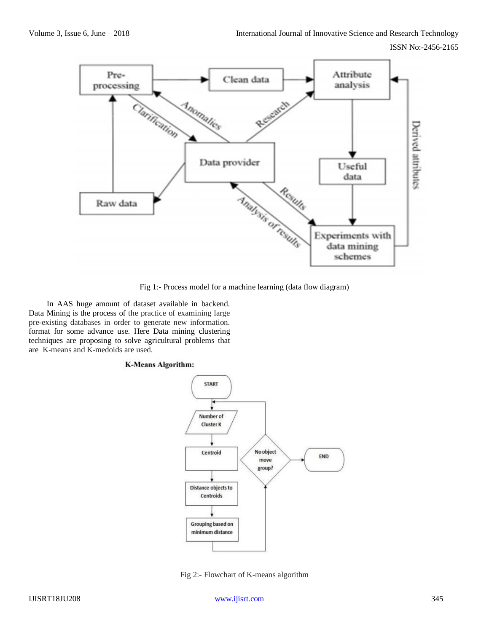

Fig 1:- Process model for a machine learning (data flow diagram)

In AAS huge amount of dataset available in backend. Data Mining is the process of the practice of examining large pre-existing databases in order to generate new information. format for some advance use. Here Data mining clustering techniques are proposing to solve agricultural problems that are K-means and K-medoids are used.

#### **K-Means Algorithm:**



Fig 2:- Flowchart of K-means algorithm